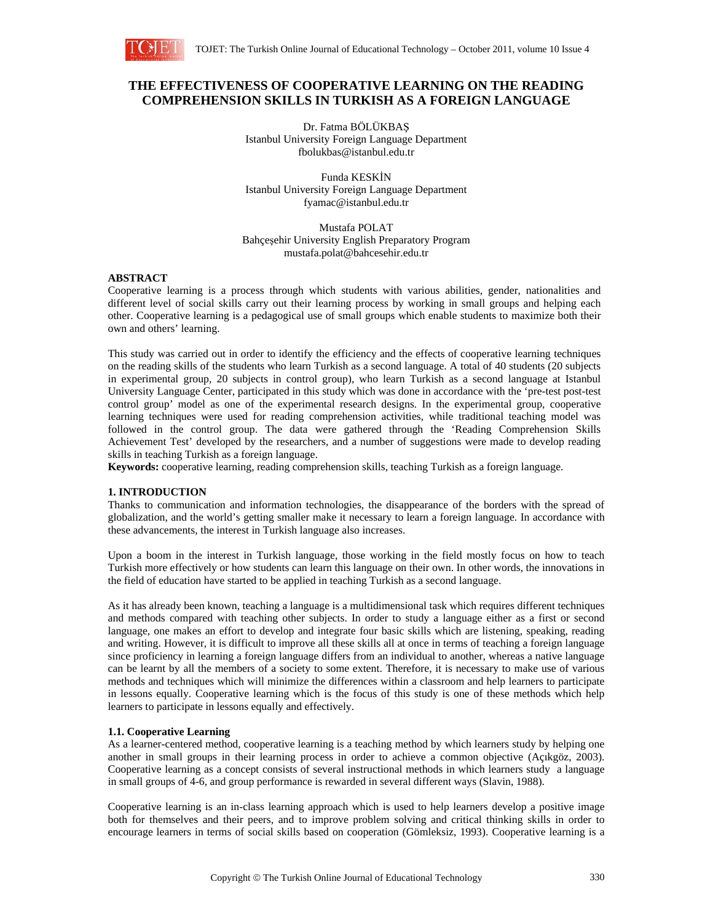

# **THE EFFECTIVENESS OF COOPERATIVE LEARNING ON THE READING COMPREHENSION SKILLS IN TURKISH AS A FOREIGN LANGUAGE**

Dr. Fatma BÖLÜKBAŞ Istanbul University Foreign Language Department fbolukbas@istanbul.edu.tr

Funda KESKİN Istanbul University Foreign Language Department fyamac@istanbul.edu.tr

Mustafa POLAT Bahçeşehir University English Preparatory Program mustafa.polat@bahcesehir.edu.tr

## **ABSTRACT**

Cooperative learning is a process through which students with various abilities, gender, nationalities and different level of social skills carry out their learning process by working in small groups and helping each other. Cooperative learning is a pedagogical use of small groups which enable students to maximize both their own and others' learning.

This study was carried out in order to identify the efficiency and the effects of cooperative learning techniques on the reading skills of the students who learn Turkish as a second language. A total of 40 students (20 subjects in experimental group, 20 subjects in control group), who learn Turkish as a second language at Istanbul University Language Center, participated in this study which was done in accordance with the 'pre-test post-test control group' model as one of the experimental research designs. In the experimental group, cooperative learning techniques were used for reading comprehension activities, while traditional teaching model was followed in the control group. The data were gathered through the 'Reading Comprehension Skills Achievement Test' developed by the researchers, and a number of suggestions were made to develop reading skills in teaching Turkish as a foreign language.

**Keywords:** cooperative learning, reading comprehension skills, teaching Turkish as a foreign language.

# **1. INTRODUCTION**

Thanks to communication and information technologies, the disappearance of the borders with the spread of globalization, and the world's getting smaller make it necessary to learn a foreign language. In accordance with these advancements, the interest in Turkish language also increases.

Upon a boom in the interest in Turkish language, those working in the field mostly focus on how to teach Turkish more effectively or how students can learn this language on their own. In other words, the innovations in the field of education have started to be applied in teaching Turkish as a second language.

As it has already been known, teaching a language is a multidimensional task which requires different techniques and methods compared with teaching other subjects. In order to study a language either as a first or second language, one makes an effort to develop and integrate four basic skills which are listening, speaking, reading and writing. However, it is difficult to improve all these skills all at once in terms of teaching a foreign language since proficiency in learning a foreign language differs from an individual to another, whereas a native language can be learnt by all the members of a society to some extent. Therefore, it is necessary to make use of various methods and techniques which will minimize the differences within a classroom and help learners to participate in lessons equally. Cooperative learning which is the focus of this study is one of these methods which help learners to participate in lessons equally and effectively.

# **1.1. Cooperative Learning**

As a learner-centered method, cooperative learning is a teaching method by which learners study by helping one another in small groups in their learning process in order to achieve a common objective (Açıkgöz, 2003). Cooperative learning as a concept consists of several instructional methods in which learners study a language in small groups of 4-6, and group performance is rewarded in several different ways (Slavin, 1988).

Cooperative learning is an in-class learning approach which is used to help learners develop a positive image both for themselves and their peers, and to improve problem solving and critical thinking skills in order to encourage learners in terms of social skills based on cooperation (Gömleksiz, 1993). Cooperative learning is a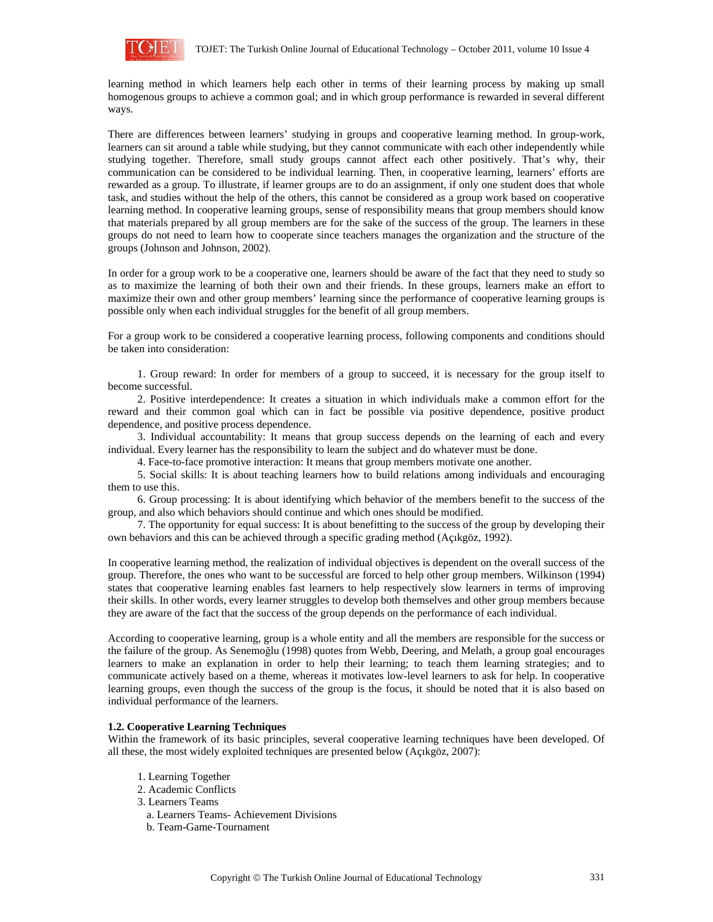

learning method in which learners help each other in terms of their learning process by making up small homogenous groups to achieve a common goal; and in which group performance is rewarded in several different ways.

There are differences between learners' studying in groups and cooperative learning method. In group-work, learners can sit around a table while studying, but they cannot communicate with each other independently while studying together. Therefore, small study groups cannot affect each other positively. That's why, their communication can be considered to be individual learning. Then, in cooperative learning, learners' efforts are rewarded as a group. To illustrate, if learner groups are to do an assignment, if only one student does that whole task, and studies without the help of the others, this cannot be considered as a group work based on cooperative learning method. In cooperative learning groups, sense of responsibility means that group members should know that materials prepared by all group members are for the sake of the success of the group. The learners in these groups do not need to learn how to cooperate since teachers manages the organization and the structure of the groups (Johnson and Johnson, 2002).

In order for a group work to be a cooperative one, learners should be aware of the fact that they need to study so as to maximize the learning of both their own and their friends. In these groups, learners make an effort to maximize their own and other group members' learning since the performance of cooperative learning groups is possible only when each individual struggles for the benefit of all group members.

For a group work to be considered a cooperative learning process, following components and conditions should be taken into consideration:

1. Group reward: In order for members of a group to succeed, it is necessary for the group itself to become successful.

2. Positive interdependence: It creates a situation in which individuals make a common effort for the reward and their common goal which can in fact be possible via positive dependence, positive product dependence, and positive process dependence.

3. Individual accountability: It means that group success depends on the learning of each and every individual. Every learner has the responsibility to learn the subject and do whatever must be done.

4. Face-to-face promotive interaction: It means that group members motivate one another.

5. Social skills: It is about teaching learners how to build relations among individuals and encouraging them to use this.

6. Group processing: It is about identifying which behavior of the members benefit to the success of the group, and also which behaviors should continue and which ones should be modified.

7. The opportunity for equal success: It is about benefitting to the success of the group by developing their own behaviors and this can be achieved through a specific grading method (Açıkgöz, 1992).

In cooperative learning method, the realization of individual objectives is dependent on the overall success of the group. Therefore, the ones who want to be successful are forced to help other group members. Wilkinson (1994) states that cooperative learning enables fast learners to help respectively slow learners in terms of improving their skills. In other words, every learner struggles to develop both themselves and other group members because they are aware of the fact that the success of the group depends on the performance of each individual.

According to cooperative learning, group is a whole entity and all the members are responsible for the success or the failure of the group. As Senemoğlu (1998) quotes from Webb, Deering, and Melath, a group goal encourages learners to make an explanation in order to help their learning; to teach them learning strategies; and to communicate actively based on a theme, whereas it motivates low-level learners to ask for help. In cooperative learning groups, even though the success of the group is the focus, it should be noted that it is also based on individual performance of the learners.

#### **1.2. Cooperative Learning Techniques**

Within the framework of its basic principles, several cooperative learning techniques have been developed. Of all these, the most widely exploited techniques are presented below (Açıkgöz, 2007):

- 1. Learning Together
- 2. Academic Conflicts
- 3. Learners Teams
	- a. Learners Teams- Achievement Divisions
	- b. Team-Game-Tournament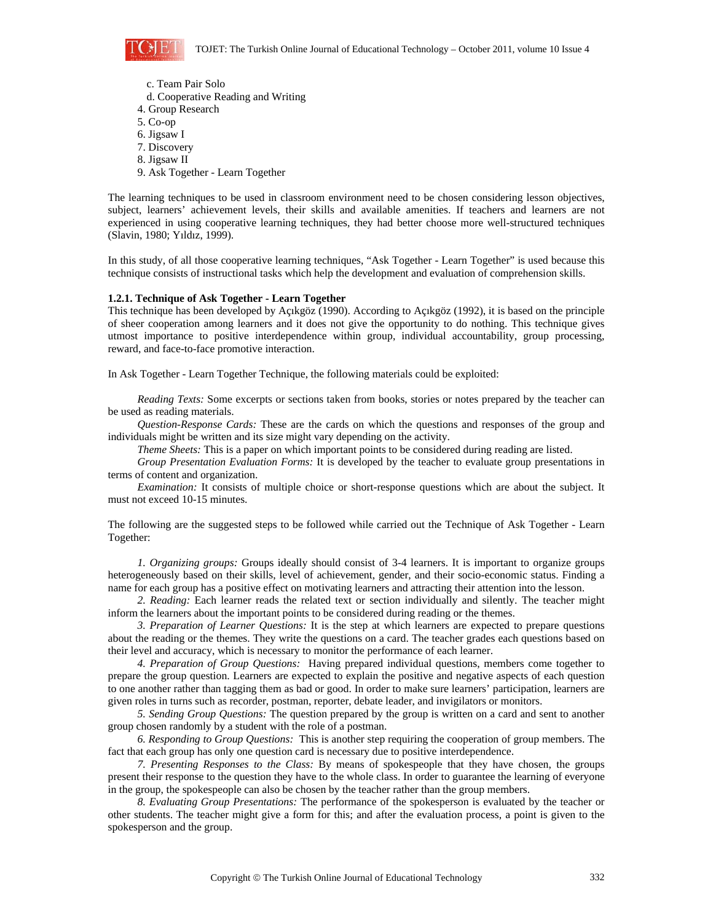

- c. Team Pair Solo d. Cooperative Reading and Writing 4. Group Research 5. Co-op 6. Jigsaw I
- 7. Discovery
- 8. Jigsaw II
- 9. Ask Together Learn Together

The learning techniques to be used in classroom environment need to be chosen considering lesson objectives, subject, learners' achievement levels, their skills and available amenities. If teachers and learners are not experienced in using cooperative learning techniques, they had better choose more well-structured techniques (Slavin, 1980; Yıldız, 1999).

In this study, of all those cooperative learning techniques, "Ask Together - Learn Together" is used because this technique consists of instructional tasks which help the development and evaluation of comprehension skills.

#### **1.2.1. Technique of Ask Together - Learn Together**

This technique has been developed by Açıkgöz (1990). According to Açıkgöz (1992), it is based on the principle of sheer cooperation among learners and it does not give the opportunity to do nothing. This technique gives utmost importance to positive interdependence within group, individual accountability, group processing, reward, and face-to-face promotive interaction.

In Ask Together - Learn Together Technique, the following materials could be exploited:

*Reading Texts:* Some excerpts or sections taken from books, stories or notes prepared by the teacher can be used as reading materials.

*Question-Response Cards:* These are the cards on which the questions and responses of the group and individuals might be written and its size might vary depending on the activity.

*Theme Sheets:* This is a paper on which important points to be considered during reading are listed.

*Group Presentation Evaluation Forms:* It is developed by the teacher to evaluate group presentations in terms of content and organization.

*Examination:* It consists of multiple choice or short-response questions which are about the subject. It must not exceed 10-15 minutes.

The following are the suggested steps to be followed while carried out the Technique of Ask Together - Learn Together:

*1. Organizing groups:* Groups ideally should consist of 3-4 learners. It is important to organize groups heterogeneously based on their skills, level of achievement, gender, and their socio-economic status. Finding a name for each group has a positive effect on motivating learners and attracting their attention into the lesson.

*2. Reading:* Each learner reads the related text or section individually and silently. The teacher might inform the learners about the important points to be considered during reading or the themes.

*3. Preparation of Learner Questions:* It is the step at which learners are expected to prepare questions about the reading or the themes. They write the questions on a card. The teacher grades each questions based on their level and accuracy, which is necessary to monitor the performance of each learner.

*4. Preparation of Group Questions:* Having prepared individual questions, members come together to prepare the group question. Learners are expected to explain the positive and negative aspects of each question to one another rather than tagging them as bad or good. In order to make sure learners' participation, learners are given roles in turns such as recorder, postman, reporter, debate leader, and invigilators or monitors.

*5. Sending Group Questions:* The question prepared by the group is written on a card and sent to another group chosen randomly by a student with the role of a postman.

*6. Responding to Group Questions:* This is another step requiring the cooperation of group members. The fact that each group has only one question card is necessary due to positive interdependence.

*7. Presenting Responses to the Class:* By means of spokespeople that they have chosen, the groups present their response to the question they have to the whole class. In order to guarantee the learning of everyone in the group, the spokespeople can also be chosen by the teacher rather than the group members.

*8. Evaluating Group Presentations:* The performance of the spokesperson is evaluated by the teacher or other students. The teacher might give a form for this; and after the evaluation process, a point is given to the spokesperson and the group.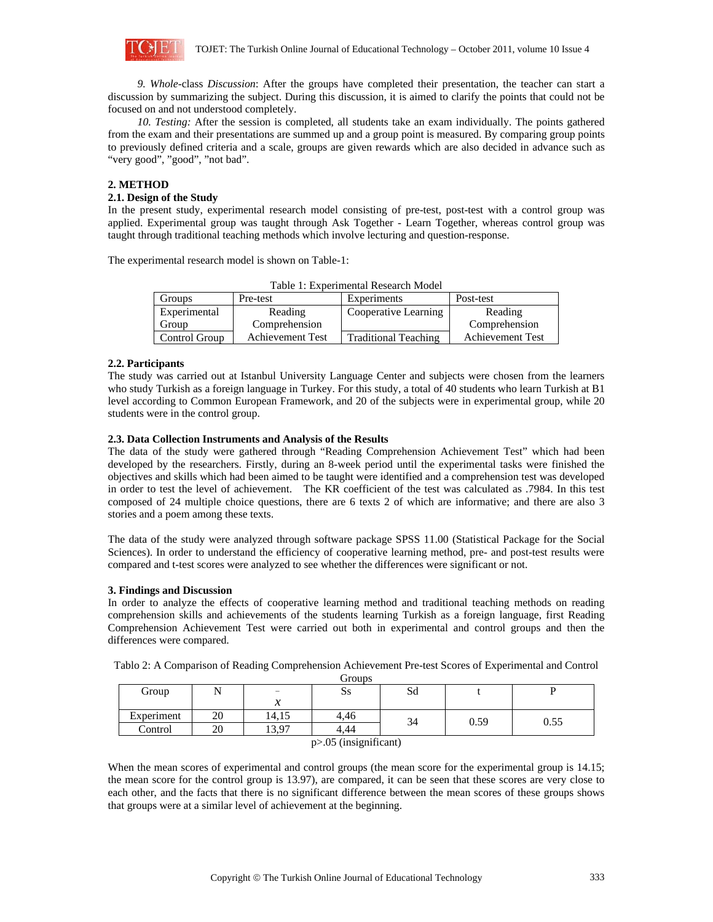

*9. Whole-*class *Discussion*: After the groups have completed their presentation, the teacher can start a discussion by summarizing the subject. During this discussion, it is aimed to clarify the points that could not be focused on and not understood completely.

*10. Testing:* After the session is completed, all students take an exam individually. The points gathered from the exam and their presentations are summed up and a group point is measured. By comparing group points to previously defined criteria and a scale, groups are given rewards which are also decided in advance such as "very good", "good", "not bad".

# **2. METHOD**

## **2.1. Design of the Study**

In the present study, experimental research model consisting of pre-test, post-test with a control group was applied. Experimental group was taught through Ask Together - Learn Together, whereas control group was taught through traditional teaching methods which involve lecturing and question-response.

The experimental research model is shown on Table-1:

Table 1: Experimental Research Model Groups Pre-test Experiments Post-test Experimental Group Cooperative Learning Control Group Reading Comprehension Achievement Test | Traditional Teaching Reading Comprehension Achievement Test

# **2.2. Participants**

The study was carried out at Istanbul University Language Center and subjects were chosen from the learners who study Turkish as a foreign language in Turkey. For this study, a total of 40 students who learn Turkish at B1 level according to Common European Framework, and 20 of the subjects were in experimental group, while 20 students were in the control group.

#### **2.3. Data Collection Instruments and Analysis of the Results**

The data of the study were gathered through "Reading Comprehension Achievement Test" which had been developed by the researchers. Firstly, during an 8-week period until the experimental tasks were finished the objectives and skills which had been aimed to be taught were identified and a comprehension test was developed in order to test the level of achievement. The KR coefficient of the test was calculated as .7984. In this test composed of 24 multiple choice questions, there are 6 texts 2 of which are informative; and there are also 3 stories and a poem among these texts.

The data of the study were analyzed through software package SPSS 11.00 (Statistical Package for the Social Sciences). In order to understand the efficiency of cooperative learning method, pre- and post-test results were compared and t-test scores were analyzed to see whether the differences were significant or not.

#### **3. Findings and Discussion**

In order to analyze the effects of cooperative learning method and traditional teaching methods on reading comprehension skills and achievements of the students learning Turkish as a foreign language, first Reading Comprehension Achievement Test were carried out both in experimental and control groups and then the differences were compared.

| Groups                     |    |       |      |    |      |      |
|----------------------------|----|-------|------|----|------|------|
| Group                      |    |       | Ss   | Sd |      |      |
|                            |    | ↗     |      |    |      |      |
| Experiment                 | 20 | 14,15 | 4.46 | 34 | 0.59 | 0.55 |
| Control                    | 20 | 13.97 | 4.44 |    |      |      |
| $p$ $> 05$ (insignificant) |    |       |      |    |      |      |

Tablo 2: A Comparison of Reading Comprehension Achievement Pre-test Scores of Experimental and Control

When the mean scores of experimental and control groups (the mean score for the experimental group is 14.15; the mean score for the control group is 13.97), are compared, it can be seen that these scores are very close to each other, and the facts that there is no significant difference between the mean scores of these groups shows that groups were at a similar level of achievement at the beginning.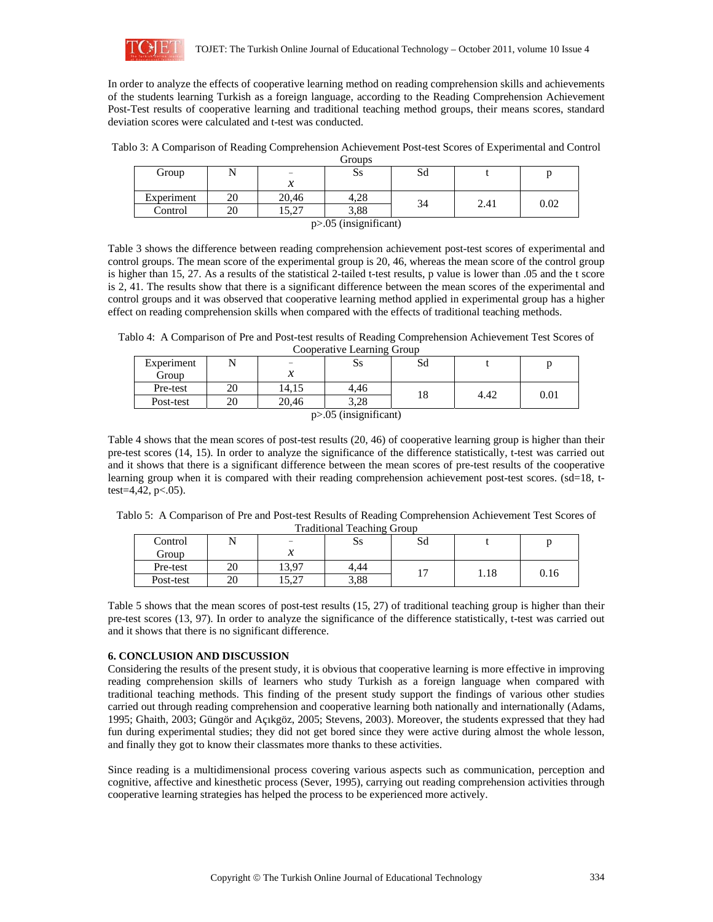

In order to analyze the effects of cooperative learning method on reading comprehension skills and achievements of the students learning Turkish as a foreign language, according to the Reading Comprehension Achievement Post-Test results of cooperative learning and traditional teaching method groups, their means scores, standard deviation scores were calculated and t-test was conducted.

Tablo 3: A Comparison of Reading Comprehension Achievement Post-test Scores of Experimental and Control Groups

| -----                      |    |                            |            |    |      |      |  |
|----------------------------|----|----------------------------|------------|----|------|------|--|
| Group                      | ъı | $\equiv$                   | $\bf{S}$ s | Sd |      |      |  |
|                            |    | $\boldsymbol{\mathcal{X}}$ |            |    |      |      |  |
| Experiment                 | 20 | 20,46                      | 4.28       | 34 | 2.41 | 0.02 |  |
| Control                    | 20 | 5.27<br>ا ے د 1            | 3.88       |    |      |      |  |
| $p > 0.05$ (insignificant) |    |                            |            |    |      |      |  |

Table 3 shows the difference between reading comprehension achievement post-test scores of experimental and control groups. The mean score of the experimental group is 20, 46, whereas the mean score of the control group is higher than 15, 27. As a results of the statistical 2-tailed t-test results, p value is lower than .05 and the t score is 2, 41. The results show that there is a significant difference between the mean scores of the experimental and control groups and it was observed that cooperative learning method applied in experimental group has a higher effect on reading comprehension skills when compared with the effects of traditional teaching methods.

Tablo 4: A Comparison of Pre and Post-test results of Reading Comprehension Achievement Test Scores of Cooperative Learning Group

| <u> cooceradi e medicine ciono</u> |    |       |      |    |      |      |  |
|------------------------------------|----|-------|------|----|------|------|--|
| Experiment                         |    |       | Ss   | Sd |      |      |  |
| Group                              |    | v     |      |    |      |      |  |
| Pre-test                           | 20 | 14.15 | 4.46 |    | 4.42 | 0.01 |  |
| Post-test                          | 20 | 20.46 | 3.28 |    |      |      |  |
| $p > 0.05$ (insignificant)         |    |       |      |    |      |      |  |

Table 4 shows that the mean scores of post-test results (20, 46) of cooperative learning group is higher than their pre-test scores (14, 15). In order to analyze the significance of the difference statistically, t-test was carried out and it shows that there is a significant difference between the mean scores of pre-test results of the cooperative learning group when it is compared with their reading comprehension achievement post-test scores. (sd=18, ttest=4,42,  $p<.05$ ).

Tablo 5: A Comparison of Pre and Post-test Results of Reading Comprehension Achievement Test Scores of Traditional Teaching Group

| Traditional Teaching Oroup |    |               |      |    |      |      |  |
|----------------------------|----|---------------|------|----|------|------|--|
| Control                    |    | $\equiv$      | Ss   | Sd |      |      |  |
| Group                      |    | ↗             |      |    |      |      |  |
| Pre-test                   | 20 | 13.97         | 4.44 |    | 1.18 | 0.16 |  |
| Post-test                  | 20 | 5.27<br>اسدرا | 3.88 |    |      |      |  |

Table 5 shows that the mean scores of post-test results (15, 27) of traditional teaching group is higher than their pre-test scores (13, 97). In order to analyze the significance of the difference statistically, t-test was carried out and it shows that there is no significant difference.

# **6. CONCLUSION AND DISCUSSION**

Considering the results of the present study, it is obvious that cooperative learning is more effective in improving reading comprehension skills of learners who study Turkish as a foreign language when compared with traditional teaching methods. This finding of the present study support the findings of various other studies carried out through reading comprehension and cooperative learning both nationally and internationally (Adams, 1995; Ghaith, 2003; Güngör and Açıkgöz, 2005; Stevens, 2003). Moreover, the students expressed that they had fun during experimental studies; they did not get bored since they were active during almost the whole lesson, and finally they got to know their classmates more thanks to these activities.

Since reading is a multidimensional process covering various aspects such as communication, perception and cognitive, affective and kinesthetic process (Sever, 1995), carrying out reading comprehension activities through cooperative learning strategies has helped the process to be experienced more actively.